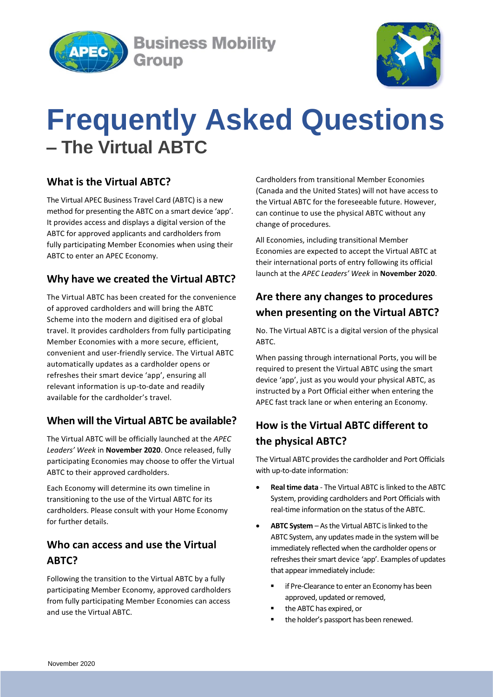

**Business Mobility** Group



# **Frequently Asked Questions – The Virtual ABTC**

#### **What is the Virtual ABTC?**

The Virtual APEC Business Travel Card (ABTC) is a new method for presenting the ABTC on a smart device 'app'. It provides access and displays a digital version of the ABTC for approved applicants and cardholders from fully participating Member Economies when using their ABTC to enter an APEC Economy.

#### **Why have we created the Virtual ABTC?**

The Virtual ABTC has been created for the convenience of approved cardholders and will bring the ABTC Scheme into the modern and digitised era of global travel. It provides cardholders from fully participating Member Economies with a more secure, efficient, convenient and user-friendly service. The Virtual ABTC automatically updates as a cardholder opens or refreshes their smart device 'app', ensuring all relevant information is up-to-date and readily available for the cardholder's travel.

#### **When will the Virtual ABTC be available?**

The Virtual ABTC will be officially launched at the *APEC Leaders' Week* in **November 2020**. Once released, fully participating Economies may choose to offer the Virtual ABTC to their approved cardholders.

Each Economy will determine its own timeline in transitioning to the use of the Virtual ABTC for its cardholders. Please consult with your Home Economy for further details.

### **Who can access and use the Virtual ABTC?**

Following the transition to the Virtual ABTC by a fully participating Member Economy, approved cardholders from fully participating Member Economies can access and use the Virtual ABTC.

Cardholders from transitional Member Economies (Canada and the United States) will not have access to the Virtual ABTC for the foreseeable future. However, can continue to use the physical ABTC without any change of procedures.

All Economies, including transitional Member Economies are expected to accept the Virtual ABTC at their international ports of entry following its official launch at the *APEC Leaders' Week* in **November 2020**.

## **Are there any changes to procedures when presenting on the Virtual ABTC?**

No. The Virtual ABTC is a digital version of the physical ABTC.

When passing through international Ports, you will be required to present the Virtual ABTC using the smart device 'app', just as you would your physical ABTC, as instructed by a Port Official either when entering the APEC fast track lane or when entering an Economy.

# **How is the Virtual ABTC different to the physical ABTC?**

The Virtual ABTC provides the cardholder and Port Officials with up-to-date information:

- **Real time data** The Virtual ABTC is linked to the ABTC System, providing cardholders and Port Officials with real-time information on the status of the ABTC.
- **ABTC System**  As the Virtual ABTC is linked to the ABTC System, any updates made in the system will be immediately reflected when the cardholder opens or refreshes their smart device 'app'. Examples of updates that appear immediately include:
	- if Pre-Clearance to enter an Economy has been approved, updated or removed,
	- the ABTC has expired, or
	- **the holder's passport has been renewed.**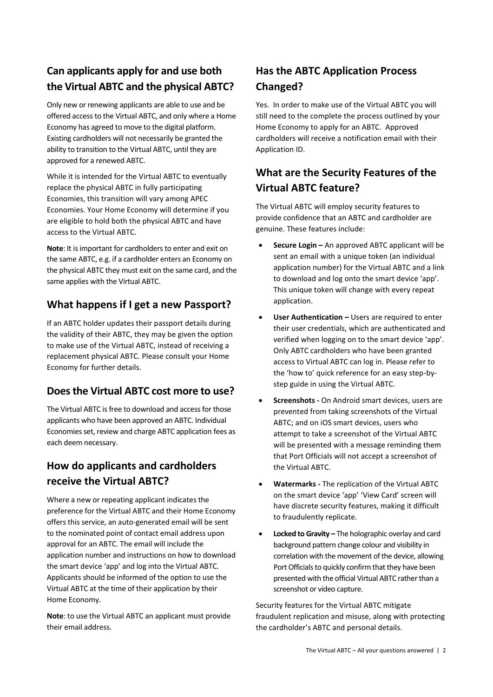# **Can applicants apply for and use both the Virtual ABTC and the physical ABTC?**

Only new or renewing applicants are able to use and be offered access to the Virtual ABTC, and only where a Home Economy has agreed to move to the digital platform. Existing cardholders will not necessarily be granted the ability to transition to the Virtual ABTC, until they are approved for a renewed ABTC.

While it is intended for the Virtual ABTC to eventually replace the physical ABTC in fully participating Economies, this transition will vary among APEC Economies. Your Home Economy will determine if you are eligible to hold both the physical ABTC and have access to the Virtual ABTC.

**Note**: It is important for cardholders to enter and exit on the same ABTC, e.g. if a cardholder enters an Economy on the physical ABTC they must exit on the same card, and the same applies with the Virtual ABTC.

#### **What happens if I get a new Passport?**

If an ABTC holder updates their passport details during the validity of their ABTC, they may be given the option to make use of the Virtual ABTC, instead of receiving a replacement physical ABTC. Please consult your Home Economy for further details.

#### **Does the Virtual ABTC cost more to use?**

The Virtual ABTC is free to download and access for those applicants who have been approved an ABTC. Individual Economies set, review and charge ABTC application fees as each deem necessary.

# **How do applicants and cardholders receive the Virtual ABTC?**

Where a new or repeating applicant indicates the preference for the Virtual ABTC and their Home Economy offers this service, an auto-generated email will be sent to the nominated point of contact email address upon approval for an ABTC. The email will include the application number and instructions on how to download the smart device 'app' and log into the Virtual ABTC. Applicants should be informed of the option to use the Virtual ABTC at the time of their application by their Home Economy.

**Note**: to use the Virtual ABTC an applicant must provide their email address.

# **Has the ABTC Application Process Changed?**

Yes. In order to make use of the Virtual ABTC you will still need to the complete the process outlined by your Home Economy to apply for an ABTC. Approved cardholders will receive a notification email with their Application ID.

### **What are the Security Features of the Virtual ABTC feature?**

The Virtual ABTC will employ security features to provide confidence that an ABTC and cardholder are genuine. These features include:

- **Secure Login –** An approved ABTC applicant will be sent an email with a unique token (an individual application number) for the Virtual ABTC and a link to download and log onto the smart device 'app'. This unique token will change with every repeat application.
- **User Authentication –** Users are required to enter their user credentials, which are authenticated and verified when logging on to the smart device 'app'. Only ABTC cardholders who have been granted access to Virtual ABTC can log in. Please refer to the 'how to' quick reference for an easy step-bystep guide in using the Virtual ABTC.
- **Screenshots -** On Android smart devices, users are prevented from taking screenshots of the Virtual ABTC; and on iOS smart devices, users who attempt to take a screenshot of the Virtual ABTC will be presented with a message reminding them that Port Officials will not accept a screenshot of the Virtual ABTC.
- **Watermarks -** The replication of the Virtual ABTC on the smart device 'app' 'View Card' screen will have discrete security features, making it difficult to fraudulently replicate.
- **•** Locked to Gravity The holographic overlay and card background pattern change colour and visibility in correlation with the movement of the device, allowing Port Officials to quickly confirm that they have been presented with the official Virtual ABTC rather than a screenshot or video capture.

Security features for the Virtual ABTC mitigate fraudulent replication and misuse, along with protecting the cardholder's ABTC and personal details.